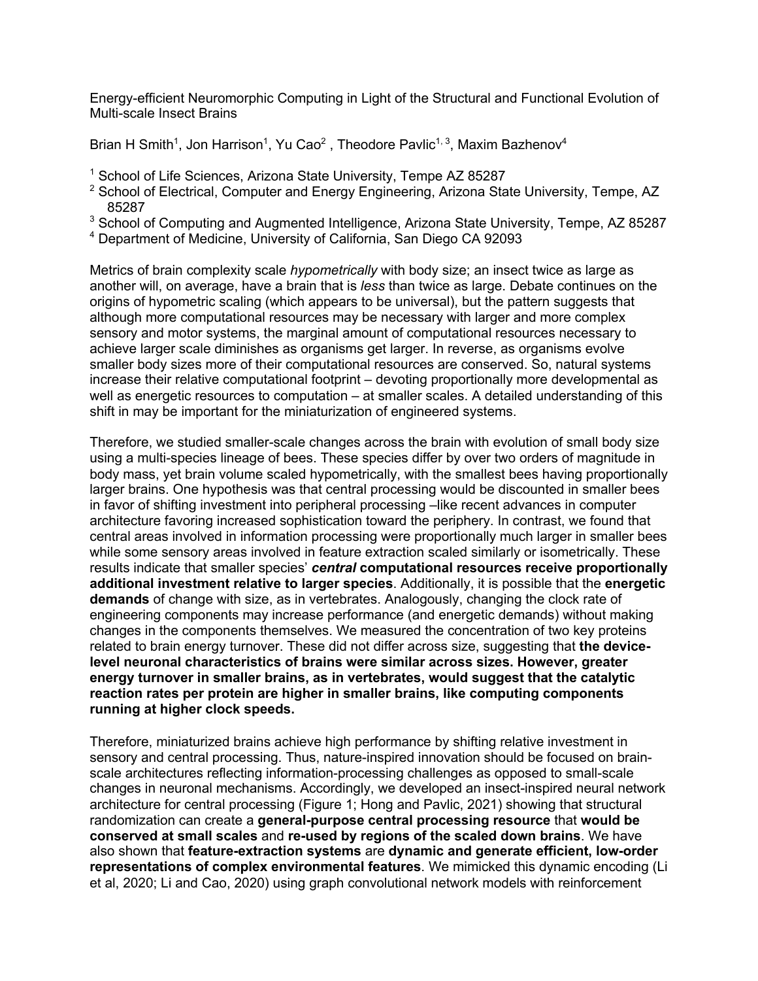Energy-efficient Neuromorphic Computing in Light of the Structural and Functional Evolution of Multi-scale Insect Brains

Brian H Smith<sup>1</sup>, Jon Harrison<sup>1</sup>, Yu Cao<sup>2</sup>, Theodore Pavlic<sup>1, 3</sup>, Maxim Bazhenov<sup>4</sup>

- <sup>1</sup> School of Life Sciences, Arizona State University, Tempe AZ 85287
- $2$  School of Electrical, Computer and Energy Engineering, Arizona State University, Tempe, AZ 85287
- <sup>3</sup> School of Computing and Augmented Intelligence, Arizona State University, Tempe, AZ 85287
- <sup>4</sup> Department of Medicine, University of California, San Diego CA 92093

Metrics of brain complexity scale *hypometrically* with body size; an insect twice as large as another will, on average, have a brain that is *less* than twice as large. Debate continues on the origins of hypometric scaling (which appears to be universal), but the pattern suggests that although more computational resources may be necessary with larger and more complex sensory and motor systems, the marginal amount of computational resources necessary to achieve larger scale diminishes as organisms get larger. In reverse, as organisms evolve smaller body sizes more of their computational resources are conserved. So, natural systems increase their relative computational footprint – devoting proportionally more developmental as well as energetic resources to computation – at smaller scales. A detailed understanding of this shift in may be important for the miniaturization of engineered systems.

Therefore, we studied smaller-scale changes across the brain with evolution of small body size using a multi-species lineage of bees. These species differ by over two orders of magnitude in body mass, yet brain volume scaled hypometrically, with the smallest bees having proportionally larger brains. One hypothesis was that central processing would be discounted in smaller bees in favor of shifting investment into peripheral processing –like recent advances in computer architecture favoring increased sophistication toward the periphery. In contrast, we found that central areas involved in information processing were proportionally much larger in smaller bees while some sensory areas involved in feature extraction scaled similarly or isometrically. These results indicate that smaller species' *central* **computational resources receive proportionally additional investment relative to larger species**. Additionally, it is possible that the **energetic demands** of change with size, as in vertebrates. Analogously, changing the clock rate of engineering components may increase performance (and energetic demands) without making changes in the components themselves. We measured the concentration of two key proteins related to brain energy turnover. These did not differ across size, suggesting that **the devicelevel neuronal characteristics of brains were similar across sizes. However, greater energy turnover in smaller brains, as in vertebrates, would suggest that the catalytic reaction rates per protein are higher in smaller brains, like computing components running at higher clock speeds.** 

Therefore, miniaturized brains achieve high performance by shifting relative investment in sensory and central processing. Thus, nature-inspired innovation should be focused on brainscale architectures reflecting information-processing challenges as opposed to small-scale changes in neuronal mechanisms. Accordingly, we developed an insect-inspired neural network architecture for central processing (Figure 1; Hong and Pavlic, 2021) showing that structural randomization can create a **general-purpose central processing resource** that **would be conserved at small scales** and **re-used by regions of the scaled down brains**. We have also shown that **feature-extraction systems** are **dynamic and generate efficient, low-order representations of complex environmental features**. We mimicked this dynamic encoding (Li et al, 2020; Li and Cao, 2020) using graph convolutional network models with reinforcement